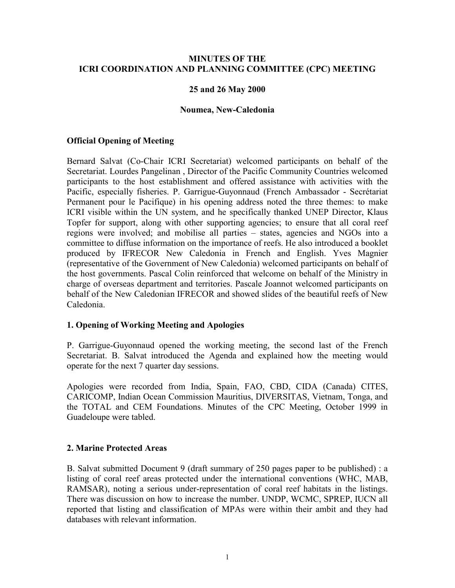#### **MINUTES OF THE ICRI COORDINATION AND PLANNING COMMITTEE (CPC) MEETING**

#### **25 and 26 May 2000**

#### **Noumea, New-Caledonia**

#### **Official Opening of Meeting**

Bernard Salvat (Co-Chair ICRI Secretariat) welcomed participants on behalf of the Secretariat. Lourdes Pangelinan , Director of the Pacific Community Countries welcomed participants to the host establishment and offered assistance with activities with the Pacific, especially fisheries. P. Garrigue-Guyonnaud (French Ambassador - Secrétariat Permanent pour le Pacifique) in his opening address noted the three themes: to make ICRI visible within the UN system, and he specifically thanked UNEP Director, Klaus Topfer for support, along with other supporting agencies; to ensure that all coral reef regions were involved; and mobilise all parties – states, agencies and NGOs into a committee to diffuse information on the importance of reefs. He also introduced a booklet produced by IFRECOR New Caledonia in French and English. Yves Magnier (representative of the Government of New Caledonia) welcomed participants on behalf of the host governments. Pascal Colin reinforced that welcome on behalf of the Ministry in charge of overseas department and territories. Pascale Joannot welcomed participants on behalf of the New Caledonian IFRECOR and showed slides of the beautiful reefs of New Caledonia.

#### **1. Opening of Working Meeting and Apologies**

P. Garrigue-Guyonnaud opened the working meeting, the second last of the French Secretariat. B. Salvat introduced the Agenda and explained how the meeting would operate for the next 7 quarter day sessions.

Apologies were recorded from India, Spain, FAO, CBD, CIDA (Canada) CITES, CARICOMP, Indian Ocean Commission Mauritius, DIVERSITAS, Vietnam, Tonga, and the TOTAL and CEM Foundations. Minutes of the CPC Meeting, October 1999 in Guadeloupe were tabled.

#### **2. Marine Protected Areas**

B. Salvat submitted Document 9 (draft summary of 250 pages paper to be published) : a listing of coral reef areas protected under the international conventions (WHC, MAB, RAMSAR), noting a serious under-representation of coral reef habitats in the listings. There was discussion on how to increase the number. UNDP, WCMC, SPREP, IUCN all reported that listing and classification of MPAs were within their ambit and they had databases with relevant information.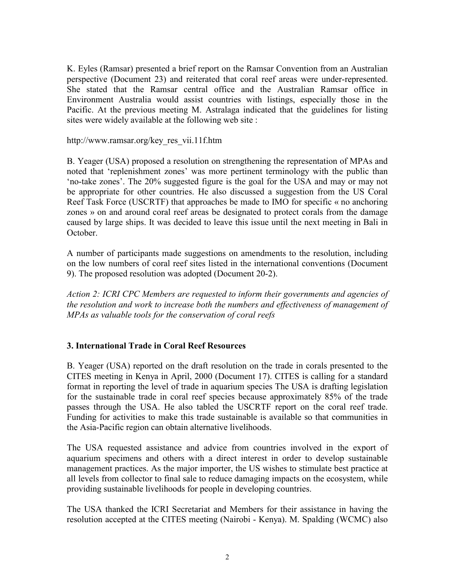K. Eyles (Ramsar) presented a brief report on the Ramsar Convention from an Australian perspective (Document 23) and reiterated that coral reef areas were under-represented. She stated that the Ramsar central office and the Australian Ramsar office in Environment Australia would assist countries with listings, especially those in the Pacific. At the previous meeting M. Astralaga indicated that the guidelines for listing sites were widely available at the following web site :

http://www.ramsar.org/key\_res\_vii.11f.htm

B. Yeager (USA) proposed a resolution on strengthening the representation of MPAs and noted that 'replenishment zones' was more pertinent terminology with the public than the zones<sup>'</sup>. The 20% suggested figure is the goal for the USA and may or may not be appropriate for other countries. He also discussed a suggestion from the US Coral Reef Task Force (USCRTF) that approaches be made to IMO for specific  $\kappa$  no anchoring zones » on and around coral reef areas be designated to protect corals from the damage caused by large ships. It was decided to leave this issue until the next meeting in Bali in October.

A number of participants made suggestions on amendments to the resolution, including on the low numbers of coral reef sites listed in the international conventions (Document 9). The proposed resolution was adopted (Document 20-2).

*Action 2: ICRI CPC Members are requested to inform their governments and agencies of the resolution and work to increase both the numbers and effectiveness of management of MPAs as valuable tools for the conservation of coral reefs*

### **3. International Trade in Coral Reef Resources**

B. Yeager (USA) reported on the draft resolution on the trade in corals presented to the CITES meeting in Kenya in April, 2000 (Document 17). CITES is calling for a standard format in reporting the level of trade in aquarium species The USA is drafting legislation for the sustainable trade in coral reef species because approximately 85% of the trade passes through the USA. He also tabled the USCRTF report on the coral reef trade. Funding for activities to make this trade sustainable is available so that communities in the Asia-Pacific region can obtain alternative livelihoods.

The USA requested assistance and advice from countries involved in the export of aquarium specimens and others with a direct interest in order to develop sustainable management practices. As the major importer, the US wishes to stimulate best practice at all levels from collector to final sale to reduce damaging impacts on the ecosystem, while providing sustainable livelihoods for people in developing countries.

The USA thanked the ICRI Secretariat and Members for their assistance in having the resolution accepted at the CITES meeting (Nairobi - Kenya). M. Spalding (WCMC) also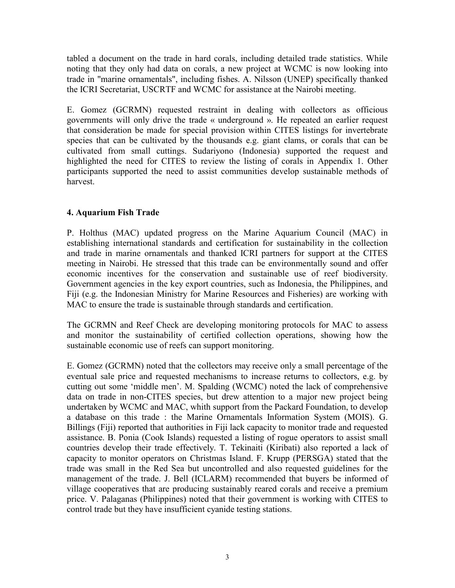tabled a document on the trade in hard corals, including detailed trade statistics. While noting that they only had data on corals, a new project at WCMC is now looking into trade in "marine ornamentals", including fishes. A. Nilsson (UNEP) specifically thanked the ICRI Secretariat, USCRTF and WCMC for assistance at the Nairobi meeting.

E. Gomez (GCRMN) requested restraint in dealing with collectors as officious governments will only drive the trade « underground ». He repeated an earlier request that consideration be made for special provision within CITES listings for invertebrate species that can be cultivated by the thousands e.g. giant clams, or corals that can be cultivated from small cuttings. Sudariyono (Indonesia) supported the request and highlighted the need for CITES to review the listing of corals in Appendix 1. Other participants supported the need to assist communities develop sustainable methods of harvest.

### **4. Aquarium Fish Trade**

P. Holthus (MAC) updated progress on the Marine Aquarium Council (MAC) in establishing international standards and certification for sustainability in the collection and trade in marine ornamentals and thanked ICRI partners for support at the CITES meeting in Nairobi. He stressed that this trade can be environmentally sound and offer economic incentives for the conservation and sustainable use of reef biodiversity. Government agencies in the key export countries, such as Indonesia, the Philippines, and Fiji (e.g. the Indonesian Ministry for Marine Resources and Fisheries) are working with MAC to ensure the trade is sustainable through standards and certification.

The GCRMN and Reef Check are developing monitoring protocols for MAC to assess and monitor the sustainability of certified collection operations, showing how the sustainable economic use of reefs can support monitoring.

E. Gomez (GCRMN) noted that the collectors may receive only a small percentage of the eventual sale price and requested mechanisms to increase returns to collectors, e.g. by cutting out some 'middle men'. M. Spalding (WCMC) noted the lack of comprehensive data on trade in non-CITES species, but drew attention to a major new project being undertaken by WCMC and MAC, whith support from the Packard Foundation, to develop a database on this trade : the Marine Ornamentals Information System (MOIS). G. Billings (Fiji) reported that authorities in Fiji lack capacity to monitor trade and requested assistance. B. Ponia (Cook Islands) requested a listing of rogue operators to assist small countries develop their trade effectively. T. Tekinaiti (Kiribati) also reported a lack of capacity to monitor operators on Christmas Island. F. Krupp (PERSGA) stated that the trade was small in the Red Sea but uncontrolled and also requested guidelines for the management of the trade. J. Bell (ICLARM) recommended that buyers be informed of village cooperatives that are producing sustainably reared corals and receive a premium price. V. Palaganas (Philippines) noted that their government is working with CITES to control trade but they have insufficient cyanide testing stations.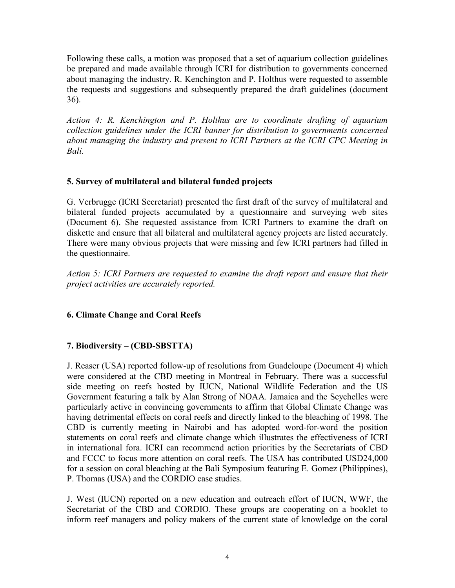Following these calls, a motion was proposed that a set of aquarium collection guidelines be prepared and made available through ICRI for distribution to governments concerned about managing the industry. R. Kenchington and P. Holthus were requested to assemble the requests and suggestions and subsequently prepared the draft guidelines (document 36).

*Action 4: R. Kenchington and P. Holthus are to coordinate drafting of aquarium collection guidelines under the ICRI banner for distribution to governments concerned about managing the industry and present to ICRI Partners at the ICRI CPC Meeting in Bali.* 

## **5. Survey of multilateral and bilateral funded projects**

G. Verbrugge (ICRI Secretariat) presented the first draft of the survey of multilateral and bilateral funded projects accumulated by a questionnaire and surveying web sites (Document 6). She requested assistance from ICRI Partners to examine the draft on diskette and ensure that all bilateral and multilateral agency projects are listed accurately. There were many obvious projects that were missing and few ICRI partners had filled in the questionnaire.

*Action 5: ICRI Partners are requested to examine the draft report and ensure that their project activities are accurately reported.* 

# **6. Climate Change and Coral Reefs**

# **7. Biodiversity – (CBD-SBSTTA)**

J. Reaser (USA) reported follow-up of resolutions from Guadeloupe (Document 4) which were considered at the CBD meeting in Montreal in February. There was a successful side meeting on reefs hosted by IUCN, National Wildlife Federation and the US Government featuring a talk by Alan Strong of NOAA. Jamaica and the Seychelles were particularly active in convincing governments to affirm that Global Climate Change was having detrimental effects on coral reefs and directly linked to the bleaching of 1998. The CBD is currently meeting in Nairobi and has adopted word-for-word the position statements on coral reefs and climate change which illustrates the effectiveness of ICRI in international fora. ICRI can recommend action priorities by the Secretariats of CBD and FCCC to focus more attention on coral reefs. The USA has contributed USD24,000 for a session on coral bleaching at the Bali Symposium featuring E. Gomez (Philippines), P. Thomas (USA) and the CORDIO case studies.

J. West (IUCN) reported on a new education and outreach effort of IUCN, WWF, the Secretariat of the CBD and CORDIO. These groups are cooperating on a booklet to inform reef managers and policy makers of the current state of knowledge on the coral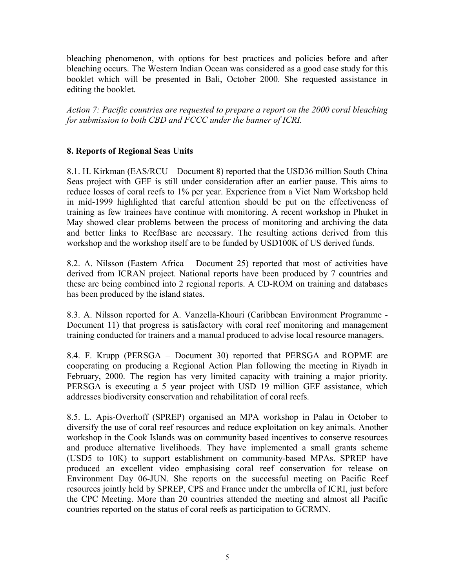bleaching phenomenon, with options for best practices and policies before and after bleaching occurs. The Western Indian Ocean was considered as a good case study for this booklet which will be presented in Bali, October 2000. She requested assistance in editing the booklet.

*Action 7: Pacific countries are requested to prepare a report on the 2000 coral bleaching for submission to both CBD and FCCC under the banner of ICRI.* 

## **8. Reports of Regional Seas Units**

8.1. H. Kirkman (EAS/RCU – Document 8) reported that the USD36 million South China Seas project with GEF is still under consideration after an earlier pause. This aims to reduce losses of coral reefs to 1% per year. Experience from a Viet Nam Workshop held in mid-1999 highlighted that careful attention should be put on the effectiveness of training as few trainees have continue with monitoring. A recent workshop in Phuket in May showed clear problems between the process of monitoring and archiving the data and better links to ReefBase are necessary. The resulting actions derived from this workshop and the workshop itself are to be funded by USD100K of US derived funds.

8.2. A. Nilsson (Eastern Africa – Document 25) reported that most of activities have derived from ICRAN project. National reports have been produced by 7 countries and these are being combined into 2 regional reports. A CD-ROM on training and databases has been produced by the island states.

8.3. A. Nilsson reported for A. Vanzella-Khouri (Caribbean Environment Programme - Document 11) that progress is satisfactory with coral reef monitoring and management training conducted for trainers and a manual produced to advise local resource managers.

8.4. F. Krupp (PERSGA  $-$  Document 30) reported that PERSGA and ROPME are cooperating on producing a Regional Action Plan following the meeting in Riyadh in February, 2000. The region has very limited capacity with training a major priority. PERSGA is executing a 5 year project with USD 19 million GEF assistance, which addresses biodiversity conservation and rehabilitation of coral reefs.

8.5. L. Apis-Overhoff (SPREP) organised an MPA workshop in Palau in October to diversify the use of coral reef resources and reduce exploitation on key animals. Another workshop in the Cook Islands was on community based incentives to conserve resources and produce alternative livelihoods. They have implemented a small grants scheme (USD5 to 10K) to support establishment on community-based MPAs. SPREP have produced an excellent video emphasising coral reef conservation for release on Environment Day 06-JUN. She reports on the successful meeting on Pacific Reef resources jointly held by SPREP, CPS and France under the umbrella of ICRI, just before the CPC Meeting. More than 20 countries attended the meeting and almost all Pacific countries reported on the status of coral reefs as participation to GCRMN.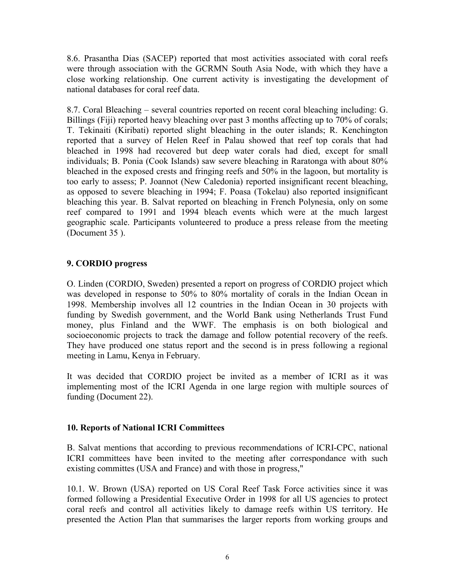8.6. Prasantha Dias (SACEP) reported that most activities associated with coral reefs were through association with the GCRMN South Asia Node, with which they have a close working relationship. One current activity is investigating the development of national databases for coral reef data.

8.7. Coral Bleaching – several countries reported on recent coral bleaching including: G. Billings (Fiji) reported heavy bleaching over past 3 months affecting up to 70% of corals; T. Tekinaiti (Kiribati) reported slight bleaching in the outer islands; R. Kenchington reported that a survey of Helen Reef in Palau showed that reef top corals that had bleached in 1998 had recovered but deep water corals had died, except for small individuals; B. Ponia (Cook Islands) saw severe bleaching in Raratonga with about 80% bleached in the exposed crests and fringing reefs and 50% in the lagoon, but mortality is too early to assess; P. Joannot (New Caledonia) reported insignificant recent bleaching, as opposed to severe bleaching in 1994; F. Poasa (Tokelau) also reported insignificant bleaching this year. B. Salvat reported on bleaching in French Polynesia, only on some reef compared to 1991 and 1994 bleach events which were at the much largest geographic scale. Participants volunteered to produce a press release from the meeting (Document 35 ).

## **9. CORDIO progress**

O. Linden (CORDIO, Sweden) presented a report on progress of CORDIO project which was developed in response to 50% to 80% mortality of corals in the Indian Ocean in 1998. Membership involves all 12 countries in the Indian Ocean in 30 projects with funding by Swedish government, and the World Bank using Netherlands Trust Fund money, plus Finland and the WWF. The emphasis is on both biological and socioeconomic projects to track the damage and follow potential recovery of the reefs. They have produced one status report and the second is in press following a regional meeting in Lamu, Kenya in February.

It was decided that CORDIO project be invited as a member of ICRI as it was implementing most of the ICRI Agenda in one large region with multiple sources of funding (Document 22).

### **10. Reports of National ICRI Committees**

B. Salvat mentions that according to previous recommendations of ICRI-CPC, national ICRI committees have been invited to the meeting after correspondance with such existing committes (USA and France) and with those in progress,"

10.1. W. Brown (USA) reported on US Coral Reef Task Force activities since it was formed following a Presidential Executive Order in 1998 for all US agencies to protect coral reefs and control all activities likely to damage reefs within US territory. He presented the Action Plan that summarises the larger reports from working groups and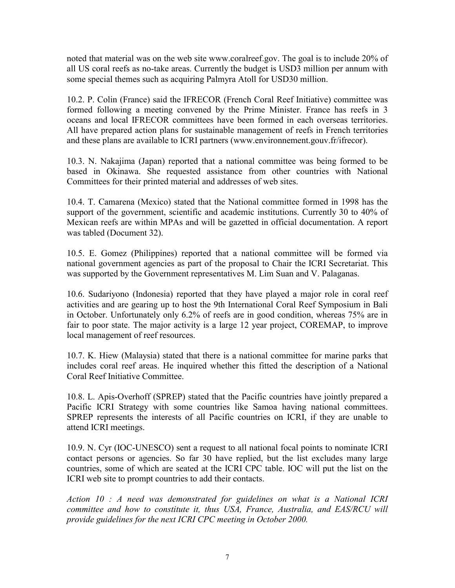noted that material was on the web site www.coralreef.gov. The goal is to include 20% of all US coral reefs as no-take areas. Currently the budget is USD3 million per annum with some special themes such as acquiring Palmyra Atoll for USD30 million.

10.2. P. Colin (France) said the IFRECOR (French Coral Reef Initiative) committee was formed following a meeting convened by the Prime Minister. France has reefs in 3 oceans and local IFRECOR committees have been formed in each overseas territories. All have prepared action plans for sustainable management of reefs in French territories and these plans are available to ICRI partners (www.environnement.gouv.fr/ifrecor).

10.3. N. Nakajima (Japan) reported that a national committee was being formed to be based in Okinawa. She requested assistance from other countries with National Committees for their printed material and addresses of web sites.

10.4. T. Camarena (Mexico) stated that the National committee formed in 1998 has the support of the government, scientific and academic institutions. Currently 30 to 40% of Mexican reefs are within MPAs and will be gazetted in official documentation. A report was tabled (Document 32).

10.5. E. Gomez (Philippines) reported that a national committee will be formed via national government agencies as part of the proposal to Chair the ICRI Secretariat. This was supported by the Government representatives M. Lim Suan and V. Palaganas.

10.6. Sudariyono (Indonesia) reported that they have played a major role in coral reef activities and are gearing up to host the 9th International Coral Reef Symposium in Bali in October. Unfortunately only 6.2% of reefs are in good condition, whereas 75% are in fair to poor state. The major activity is a large 12 year project, COREMAP, to improve local management of reef resources.

10.7. K. Hiew (Malaysia) stated that there is a national committee for marine parks that includes coral reef areas. He inquired whether this fitted the description of a National Coral Reef Initiative Committee.

10.8. L. Apis-Overhoff (SPREP) stated that the Pacific countries have jointly prepared a Pacific ICRI Strategy with some countries like Samoa having national committees. SPREP represents the interests of all Pacific countries on ICRI, if they are unable to attend ICRI meetings.

10.9. N. Cyr (IOC-UNESCO) sent a request to all national focal points to nominate ICRI contact persons or agencies. So far 30 have replied, but the list excludes many large countries, some of which are seated at the ICRI CPC table. IOC will put the list on the ICRI web site to prompt countries to add their contacts.

*Action 10 : A need was demonstrated for guidelines on what is a National ICRI committee and how to constitute it, thus USA, France, Australia, and EAS/RCU will provide guidelines for the next ICRI CPC meeting in October 2000.*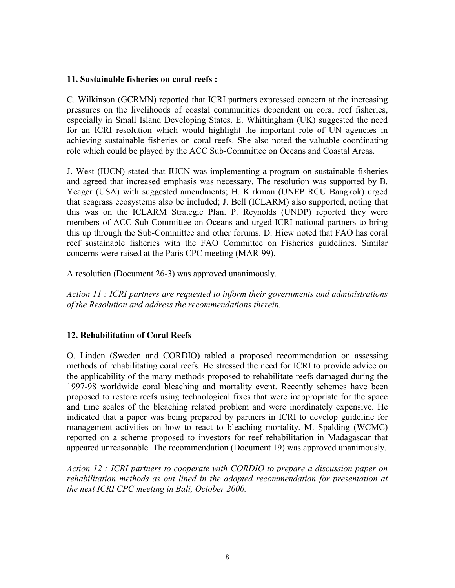#### **11. Sustainable fisheries on coral reefs :**

C. Wilkinson (GCRMN) reported that ICRI partners expressed concern at the increasing pressures on the livelihoods of coastal communities dependent on coral reef fisheries, especially in Small Island Developing States. E. Whittingham (UK) suggested the need for an ICRI resolution which would highlight the important role of UN agencies in achieving sustainable fisheries on coral reefs. She also noted the valuable coordinating role which could be played by the ACC Sub-Committee on Oceans and Coastal Areas.

J. West (IUCN) stated that IUCN was implementing a program on sustainable fisheries and agreed that increased emphasis was necessary. The resolution was supported by B. Yeager (USA) with suggested amendments; H. Kirkman (UNEP RCU Bangkok) urged that seagrass ecosystems also be included; J. Bell (ICLARM) also supported, noting that this was on the ICLARM Strategic Plan. P. Reynolds (UNDP) reported they were members of ACC Sub-Committee on Oceans and urged ICRI national partners to bring this up through the Sub-Committee and other forums. D. Hiew noted that FAO has coral reef sustainable fisheries with the FAO Committee on Fisheries guidelines. Similar concerns were raised at the Paris CPC meeting (MAR-99).

A resolution (Document 26-3) was approved unanimously.

*Action 11 : ICRI partners are requested to inform their governments and administrations of the Resolution and address the recommendations therein.* 

#### **12. Rehabilitation of Coral Reefs**

O. Linden (Sweden and CORDIO) tabled a proposed recommendation on assessing methods of rehabilitating coral reefs. He stressed the need for ICRI to provide advice on the applicability of the many methods proposed to rehabilitate reefs damaged during the 1997-98 worldwide coral bleaching and mortality event. Recently schemes have been proposed to restore reefs using technological fixes that were inappropriate for the space and time scales of the bleaching related problem and were inordinately expensive. He indicated that a paper was being prepared by partners in ICRI to develop guideline for management activities on how to react to bleaching mortality. M. Spalding (WCMC) reported on a scheme proposed to investors for reef rehabilitation in Madagascar that appeared unreasonable. The recommendation (Document 19) was approved unanimously.

*Action 12 : ICRI partners to cooperate with CORDIO to prepare a discussion paper on rehabilitation methods as out lined in the adopted recommendation for presentation at the next ICRI CPC meeting in Bali, October 2000.*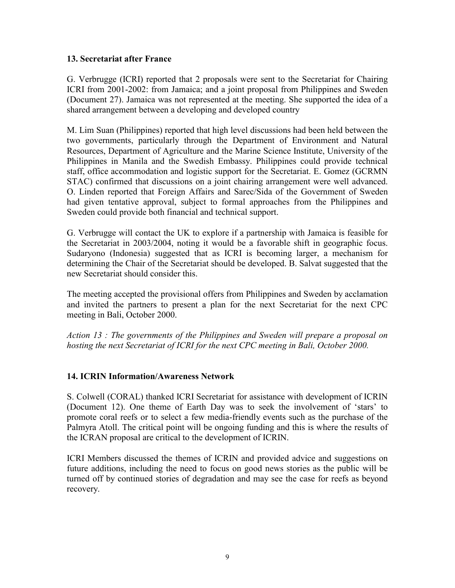#### **13. Secretariat after France**

G. Verbrugge (ICRI) reported that 2 proposals were sent to the Secretariat for Chairing ICRI from 2001-2002: from Jamaica; and a joint proposal from Philippines and Sweden (Document 27). Jamaica was not represented at the meeting. She supported the idea of a shared arrangement between a developing and developed country

M. Lim Suan (Philippines) reported that high level discussions had been held between the two governments, particularly through the Department of Environment and Natural Resources, Department of Agriculture and the Marine Science Institute, University of the Philippines in Manila and the Swedish Embassy. Philippines could provide technical staff, office accommodation and logistic support for the Secretariat. E. Gomez (GCRMN STAC) confirmed that discussions on a joint chairing arrangement were well advanced. O. Linden reported that Foreign Affairs and Sarec/Sida of the Government of Sweden had given tentative approval, subject to formal approaches from the Philippines and Sweden could provide both financial and technical support.

G. Verbrugge will contact the UK to explore if a partnership with Jamaica is feasible for the Secretariat in 2003/2004, noting it would be a favorable shift in geographic focus. Sudaryono (Indonesia) suggested that as ICRI is becoming larger, a mechanism for determining the Chair of the Secretariat should be developed. B. Salvat suggested that the new Secretariat should consider this.

The meeting accepted the provisional offers from Philippines and Sweden by acclamation and invited the partners to present a plan for the next Secretariat for the next CPC meeting in Bali, October 2000.

*Action 13 : The governments of the Philippines and Sweden will prepare a proposal on hosting the next Secretariat of ICRI for the next CPC meeting in Bali, October 2000.* 

### **14. ICRIN Information/Awareness Network**

S. Colwell (CORAL) thanked ICRI Secretariat for assistance with development of ICRIN (Document 12). One theme of Earth Day was to seek the involvement of 'stars' to promote coral reefs or to select a few media-friendly events such as the purchase of the Palmyra Atoll. The critical point will be ongoing funding and this is where the results of the ICRAN proposal are critical to the development of ICRIN.

ICRI Members discussed the themes of ICRIN and provided advice and suggestions on future additions, including the need to focus on good news stories as the public will be turned off by continued stories of degradation and may see the case for reefs as beyond recovery.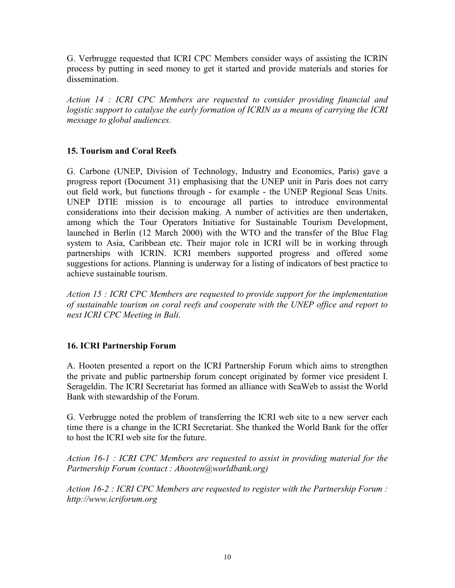G. Verbrugge requested that ICRI CPC Members consider ways of assisting the ICRIN process by putting in seed money to get it started and provide materials and stories for dissemination.

*Action 14 : ICRI CPC Members are requested to consider providing financial and logistic support to catalyse the early formation of ICRIN as a means of carrying the ICRI message to global audiences.* 

# **15. Tourism and Coral Reefs**

G. Carbone (UNEP, Division of Technology, Industry and Economics, Paris) gave a progress report (Document 31) emphasising that the UNEP unit in Paris does not carry out field work, but functions through - for example - the UNEP Regional Seas Units. UNEP DTIE mission is to encourage all parties to introduce environmental considerations into their decision making. A number of activities are then undertaken, among which the Tour Operators Initiative for Sustainable Tourism Development, launched in Berlin (12 March 2000) with the WTO and the transfer of the Blue Flag system to Asia, Caribbean etc. Their major role in ICRI will be in working through partnerships with ICRIN. ICRI members supported progress and offered some suggestions for actions. Planning is underway for a listing of indicators of best practice to achieve sustainable tourism.

*Action 15 : ICRI CPC Members are requested to provide support for the implementation of sustainable tourism on coral reefs and cooperate with the UNEP office and report to next ICRI CPC Meeting in Bali.* 

### **16. ICRI Partnership Forum**

A. Hooten presented a report on the ICRI Partnership Forum which aims to strengthen the private and public partnership forum concept originated by former vice president I. Serageldin. The ICRI Secretariat has formed an alliance with SeaWeb to assist the World Bank with stewardship of the Forum.

G. Verbrugge noted the problem of transferring the ICRI web site to a new server each time there is a change in the ICRI Secretariat. She thanked the World Bank for the offer to host the ICRI web site for the future.

*Action 16-1 : ICRI CPC Members are requested to assist in providing material for the Partnership Forum (contact : Ahooten@worldbank.org)* 

*Action 16-2 : ICRI CPC Members are requested to register with the Partnership Forum : http://www.icriforum.org*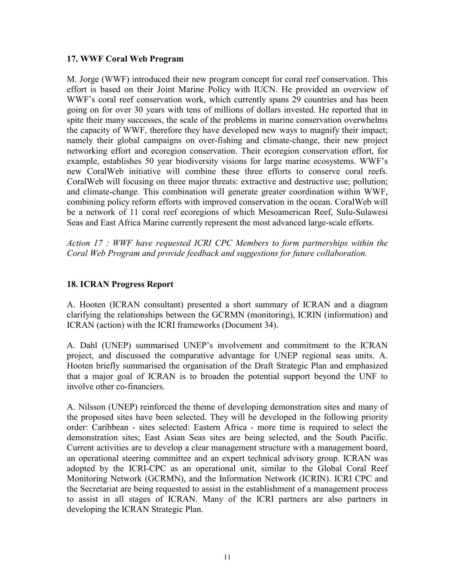#### **17. WWF Coral Web Program**

M. Jorge (WWF) introduced their new program concept for coral reef conservation. This effort is based on their Joint Marine Policy with IUCN. He provided an overview of WWF's coral reef conservation work, which currently spans 29 countries and has been going on for over 30 years with tens of millions of dollars invested. He reported that in spite their many successes, the scale of the problems in marine conservation overwhelms the capacity of WWF, therefore they have developed new ways to magnify their impact; namely their global campaigns on over-fishing and climate-change, their new project networking effort and ecoregion conservation. Their ecoregion conservation effort, for example, establishes 50 year biodiversity visions for large marine ecosystems. WWF's new CoralWeb initiative will combine these three efforts to conserve coral reefs. CoralWeb will focusing on three major threats: extractive and destructive use; pollution; and climate-change. This combination will generate greater coordination within WWF, combining policy reform efforts with improved conservation in the ocean. CoralWeb will be a network of 11 coral reef ecoregions of which Mesoamerican Reef, Sulu-Sulawesi Seas and East Africa Marine currently represent the most advanced large-scale efforts.

*Action 17 : WWF have requested ICRI CPC Members to form partnerships within the Coral Web Program and provide feedback and suggestions for future collaboration.* 

### **18. ICRAN Progress Report**

A. Hooten (ICRAN consultant) presented a short summary of ICRAN and a diagram clarifying the relationships between the GCRMN (monitoring), ICRIN (information) and ICRAN (action) with the ICRI frameworks (Document 34).

A. Dahl (UNEP) summarised UNEPís involvement and commitment to the ICRAN project, and discussed the comparative advantage for UNEP regional seas units. A. Hooten briefly summarised the organisation of the Draft Strategic Plan and emphasized that a major goal of ICRAN is to broaden the potential support beyond the UNF to involve other co-financiers.

A. Nilsson (UNEP) reinforced the theme of developing demonstration sites and many of the proposed sites have been selected. They will be developed in the following priority order: Caribbean - sites selected: Eastern Africa - more time is required to select the demonstration sites; East Asian Seas sites are being selected, and the South Pacific. Current activities are to develop a clear management structure with a management board, an operational steering committee and an expert technical advisory group. ICRAN was adopted by the ICRI-CPC as an operational unit, similar to the Global Coral Reef Monitoring Network (GCRMN), and the Information Network (ICRIN). ICRI CPC and the Secretariat are being requested to assist in the establishment of a management process to assist in all stages of ICRAN. Many of the ICRI partners are also partners in developing the ICRAN Strategic Plan.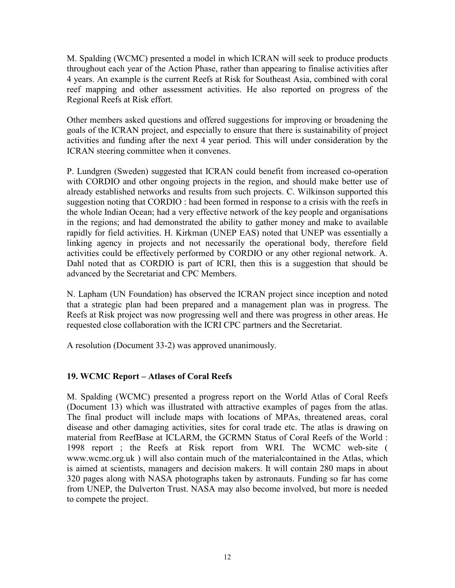M. Spalding (WCMC) presented a model in which ICRAN will seek to produce products throughout each year of the Action Phase, rather than appearing to finalise activities after 4 years. An example is the current Reefs at Risk for Southeast Asia, combined with coral reef mapping and other assessment activities. He also reported on progress of the Regional Reefs at Risk effort.

Other members asked questions and offered suggestions for improving or broadening the goals of the ICRAN project, and especially to ensure that there is sustainability of project activities and funding after the next 4 year period. This will under consideration by the ICRAN steering committee when it convenes.

P. Lundgren (Sweden) suggested that ICRAN could benefit from increased co-operation with CORDIO and other ongoing projects in the region, and should make better use of already established networks and results from such projects. C. Wilkinson supported this suggestion noting that CORDIO : had been formed in response to a crisis with the reefs in the whole Indian Ocean; had a very effective network of the key people and organisations in the regions; and had demonstrated the ability to gather money and make to available rapidly for field activities. H. Kirkman (UNEP EAS) noted that UNEP was essentially a linking agency in projects and not necessarily the operational body, therefore field activities could be effectively performed by CORDIO or any other regional network. A. Dahl noted that as CORDIO is part of ICRI, then this is a suggestion that should be advanced by the Secretariat and CPC Members.

N. Lapham (UN Foundation) has observed the ICRAN project since inception and noted that a strategic plan had been prepared and a management plan was in progress. The Reefs at Risk project was now progressing well and there was progress in other areas. He requested close collaboration with the ICRI CPC partners and the Secretariat.

A resolution (Document 33-2) was approved unanimously.

# **19. WCMC Report – Atlases of Coral Reefs**

M. Spalding (WCMC) presented a progress report on the World Atlas of Coral Reefs (Document 13) which was illustrated with attractive examples of pages from the atlas. The final product will include maps with locations of MPAs, threatened areas, coral disease and other damaging activities, sites for coral trade etc. The atlas is drawing on material from ReefBase at ICLARM, the GCRMN Status of Coral Reefs of the World : 1998 report ; the Reefs at Risk report from WRI. The WCMC web-site ( www.wcmc.org.uk ) will also contain much of the materialcontained in the Atlas, which is aimed at scientists, managers and decision makers. It will contain 280 maps in about 320 pages along with NASA photographs taken by astronauts. Funding so far has come from UNEP, the Dulverton Trust. NASA may also become involved, but more is needed to compete the project.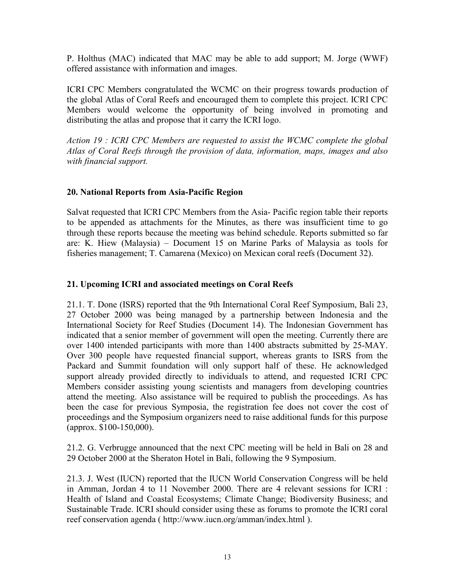P. Holthus (MAC) indicated that MAC may be able to add support; M. Jorge (WWF) offered assistance with information and images.

ICRI CPC Members congratulated the WCMC on their progress towards production of the global Atlas of Coral Reefs and encouraged them to complete this project. ICRI CPC Members would welcome the opportunity of being involved in promoting and distributing the atlas and propose that it carry the ICRI logo.

*Action 19 : ICRI CPC Members are requested to assist the WCMC complete the global Atlas of Coral Reefs through the provision of data, information, maps, images and also with financial support.* 

## **20. National Reports from Asia-Pacific Region**

Salvat requested that ICRI CPC Members from the Asia- Pacific region table their reports to be appended as attachments for the Minutes, as there was insufficient time to go through these reports because the meeting was behind schedule. Reports submitted so far are: K. Hiew (Malaysia)  $-$  Document 15 on Marine Parks of Malaysia as tools for fisheries management; T. Camarena (Mexico) on Mexican coral reefs (Document 32).

# **21. Upcoming ICRI and associated meetings on Coral Reefs**

21.1. T. Done (ISRS) reported that the 9th International Coral Reef Symposium, Bali 23, 27 October 2000 was being managed by a partnership between Indonesia and the International Society for Reef Studies (Document 14). The Indonesian Government has indicated that a senior member of government will open the meeting. Currently there are over 1400 intended participants with more than 1400 abstracts submitted by 25-MAY. Over 300 people have requested financial support, whereas grants to ISRS from the Packard and Summit foundation will only support half of these. He acknowledged support already provided directly to individuals to attend, and requested ICRI CPC Members consider assisting young scientists and managers from developing countries attend the meeting. Also assistance will be required to publish the proceedings. As has been the case for previous Symposia, the registration fee does not cover the cost of proceedings and the Symposium organizers need to raise additional funds for this purpose (approx. \$100-150,000).

21.2. G. Verbrugge announced that the next CPC meeting will be held in Bali on 28 and 29 October 2000 at the Sheraton Hotel in Bali, following the 9 Symposium.

21.3. J. West (IUCN) reported that the IUCN World Conservation Congress will be held in Amman, Jordan 4 to 11 November 2000. There are 4 relevant sessions for ICRI : Health of Island and Coastal Ecosystems; Climate Change; Biodiversity Business; and Sustainable Trade. ICRI should consider using these as forums to promote the ICRI coral reef conservation agenda ( http://www.iucn.org/amman/index.html ).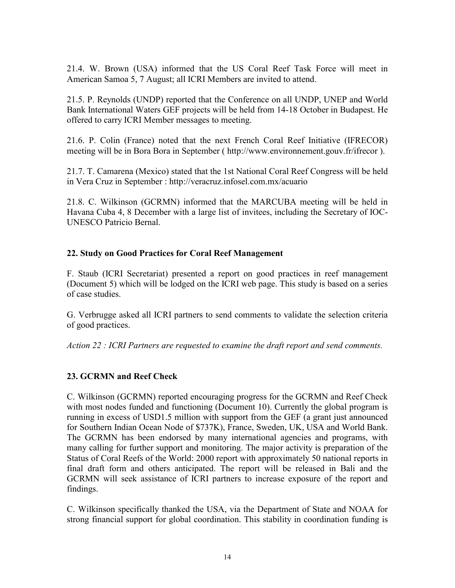21.4. W. Brown (USA) informed that the US Coral Reef Task Force will meet in American Samoa 5, 7 August; all ICRI Members are invited to attend.

21.5. P. Reynolds (UNDP) reported that the Conference on all UNDP, UNEP and World Bank International Waters GEF projects will be held from 14-18 October in Budapest. He offered to carry ICRI Member messages to meeting.

21.6. P. Colin (France) noted that the next French Coral Reef Initiative (IFRECOR) meeting will be in Bora Bora in September ( http://www.environnement.gouv.fr/ifrecor ).

21.7. T. Camarena (Mexico) stated that the 1st National Coral Reef Congress will be held in Vera Cruz in September : http://veracruz.infosel.com.mx/acuario

21.8. C. Wilkinson (GCRMN) informed that the MARCUBA meeting will be held in Havana Cuba 4, 8 December with a large list of invitees, including the Secretary of IOC-UNESCO Patricio Bernal.

## **22. Study on Good Practices for Coral Reef Management**

F. Staub (ICRI Secretariat) presented a report on good practices in reef management (Document 5) which will be lodged on the ICRI web page. This study is based on a series of case studies.

G. Verbrugge asked all ICRI partners to send comments to validate the selection criteria of good practices.

*Action 22 : ICRI Partners are requested to examine the draft report and send comments.* 

# **23. GCRMN and Reef Check**

C. Wilkinson (GCRMN) reported encouraging progress for the GCRMN and Reef Check with most nodes funded and functioning (Document 10). Currently the global program is running in excess of USD1.5 million with support from the GEF (a grant just announced for Southern Indian Ocean Node of \$737K), France, Sweden, UK, USA and World Bank. The GCRMN has been endorsed by many international agencies and programs, with many calling for further support and monitoring. The major activity is preparation of the Status of Coral Reefs of the World: 2000 report with approximately 50 national reports in final draft form and others anticipated. The report will be released in Bali and the GCRMN will seek assistance of ICRI partners to increase exposure of the report and findings.

C. Wilkinson specifically thanked the USA, via the Department of State and NOAA for strong financial support for global coordination. This stability in coordination funding is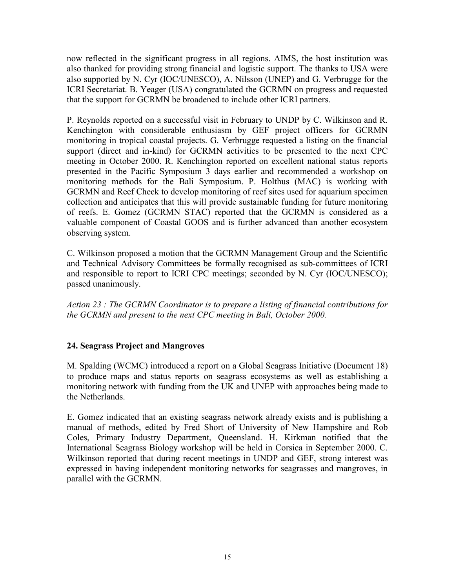now reflected in the significant progress in all regions. AIMS, the host institution was also thanked for providing strong financial and logistic support. The thanks to USA were also supported by N. Cyr (IOC/UNESCO), A. Nilsson (UNEP) and G. Verbrugge for the ICRI Secretariat. B. Yeager (USA) congratulated the GCRMN on progress and requested that the support for GCRMN be broadened to include other ICRI partners.

P. Reynolds reported on a successful visit in February to UNDP by C. Wilkinson and R. Kenchington with considerable enthusiasm by GEF project officers for GCRMN monitoring in tropical coastal projects. G. Verbrugge requested a listing on the financial support (direct and in-kind) for GCRMN activities to be presented to the next CPC meeting in October 2000. R. Kenchington reported on excellent national status reports presented in the Pacific Symposium 3 days earlier and recommended a workshop on monitoring methods for the Bali Symposium. P. Holthus (MAC) is working with GCRMN and Reef Check to develop monitoring of reef sites used for aquarium specimen collection and anticipates that this will provide sustainable funding for future monitoring of reefs. E. Gomez (GCRMN STAC) reported that the GCRMN is considered as a valuable component of Coastal GOOS and is further advanced than another ecosystem observing system.

C. Wilkinson proposed a motion that the GCRMN Management Group and the Scientific and Technical Advisory Committees be formally recognised as sub-committees of ICRI and responsible to report to ICRI CPC meetings; seconded by N. Cyr (IOC/UNESCO); passed unanimously.

*Action 23 : The GCRMN Coordinator is to prepare a listing of financial contributions for the GCRMN and present to the next CPC meeting in Bali, October 2000.* 

### **24. Seagrass Project and Mangroves**

M. Spalding (WCMC) introduced a report on a Global Seagrass Initiative (Document 18) to produce maps and status reports on seagrass ecosystems as well as establishing a monitoring network with funding from the UK and UNEP with approaches being made to the Netherlands.

E. Gomez indicated that an existing seagrass network already exists and is publishing a manual of methods, edited by Fred Short of University of New Hampshire and Rob Coles, Primary Industry Department, Queensland. H. Kirkman notified that the International Seagrass Biology workshop will be held in Corsica in September 2000. C. Wilkinson reported that during recent meetings in UNDP and GEF, strong interest was expressed in having independent monitoring networks for seagrasses and mangroves, in parallel with the GCRMN.